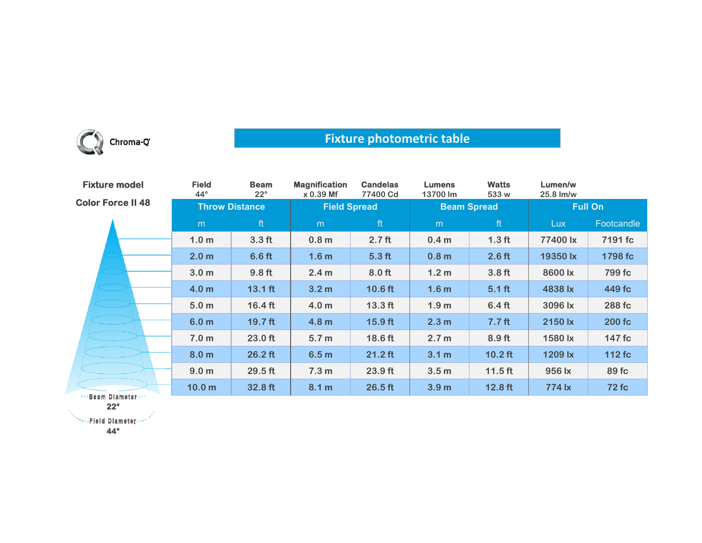

## **Fixture photometric table**

| <b>Fixture model</b>     | <b>Field</b><br>$44^{\circ}$ | <b>Beam</b><br>$22^{\circ}$ | <b>Magnification</b><br>$x 0.39$ Mf | <b>Candelas</b><br>77400 Cd | <b>Lumens</b><br>13700 lm | <b>Watts</b><br>533 w | Lumen/w<br>25.8 lm/w |              |
|--------------------------|------------------------------|-----------------------------|-------------------------------------|-----------------------------|---------------------------|-----------------------|----------------------|--------------|
| <b>Color Force II 48</b> | <b>Throw Distance</b>        |                             | <b>Field Spread</b>                 |                             | <b>Beam Spread</b>        |                       | <b>Full On</b>       |              |
|                          | m                            | ft                          | m                                   | ft                          | m                         | ft                    | Lux                  | Footcandle   |
|                          | 1.0 <sub>m</sub>             | 3.3 <sub>ft</sub>           | 0.8 <sub>m</sub>                    | 2.7 <sub>ft</sub>           | 0.4 <sub>m</sub>          | 1.3 <sub>ft</sub>     | 77400 lx             | 7191 fc      |
|                          | 2.0 <sub>m</sub>             | 6.6 <sub>ft</sub>           | 1.6 <sub>m</sub>                    | 5.3 <sub>ft</sub>           | 0.8 <sub>m</sub>          | 2.6 <sub>ft</sub>     | 19350 lx             | 1798 fc      |
|                          | 3.0 <sub>m</sub>             | 9.8 <sub>ft</sub>           | 2.4 <sub>m</sub>                    | 8.0 <sub>ft</sub>           | 1.2 <sub>m</sub>          | 3.8 <sub>ft</sub>     | 8600 lx              | 799 fc       |
|                          | 4.0 <sub>m</sub>             | $13.1$ ft                   | 3.2 <sub>m</sub>                    | $10.6$ ft                   | 1.6 <sub>m</sub>          | $5.1$ ft              | 4838 lx              | 449 fc       |
|                          | 5.0 <sub>m</sub>             | $16.4 \text{ ft}$           | 4.0 <sub>m</sub>                    | $13.3$ ft                   | 1.9 <sub>m</sub>          | 6.4 <sub>ft</sub>     | 3096 lx              | 288 fc       |
|                          | 6.0 <sub>m</sub>             | $19.7$ ft                   | 4.8 <sub>m</sub>                    | $15.9$ ft                   | 2.3 <sub>m</sub>          | 7.7 <sub>ft</sub>     | 2150 lx              | $200 f$ c    |
|                          | 7.0 <sub>m</sub>             | 23.0 ft                     | 5.7 <sub>m</sub>                    | 18.6 ft                     | 2.7 <sub>m</sub>          | 8.9 ft                | 1580 lx              | 147 fc       |
|                          | 8.0 <sub>m</sub>             | $26.2$ ft                   | 6.5 <sub>m</sub>                    | $21.2$ ft                   | 3.1 <sub>m</sub>          | $10.2$ ft             | 1209 lx              | 112 fc       |
|                          | 9.0 <sub>m</sub>             | $29.5$ ft                   | 7.3 <sub>m</sub>                    | 23.9 ft                     | 3.5 <sub>m</sub>          | $11.5$ ft             | 956 lx               | 89 fc        |
| Boom Blometon            | 10.0 <sub>m</sub>            | 32.8 ft                     | 8.1 m                               | $26.5$ ft                   | 3.9 <sub>m</sub>          | $12.8$ ft             | 774 lx               | <b>72 fc</b> |

-Beam Diameter **22°**

**44°**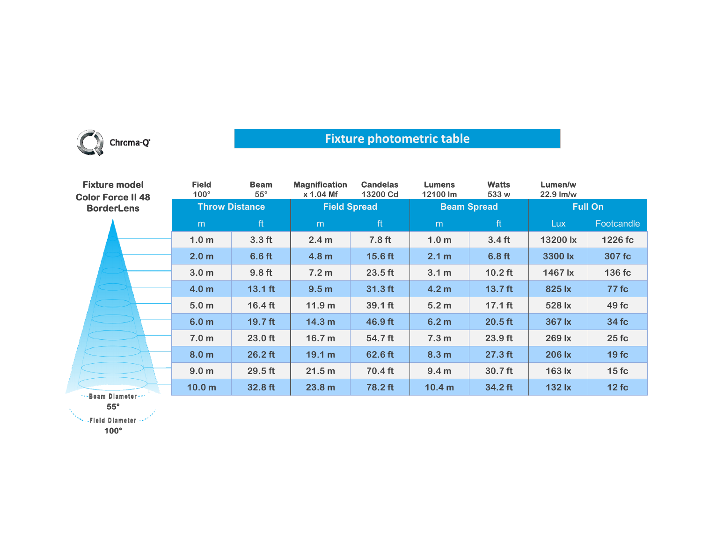

## **Fixture photometric table**

| <b>Fixture model</b><br><b>Color Force II 48</b><br><b>BorderLens</b> | <b>Field</b><br>$100^\circ$ | <b>Beam</b><br>$55^{\circ}$ | <b>Magnification</b><br>$x 1.04$ Mf | <b>Candelas</b><br>13200 Cd | <b>Lumens</b><br>12100 lm | <b>Watts</b><br>533 w | Lumen/w<br>22.9 lm/w |              |
|-----------------------------------------------------------------------|-----------------------------|-----------------------------|-------------------------------------|-----------------------------|---------------------------|-----------------------|----------------------|--------------|
|                                                                       | <b>Throw Distance</b>       |                             | <b>Field Spread</b>                 |                             | <b>Beam Spread</b>        |                       | <b>Full On</b>       |              |
|                                                                       | m                           | ft                          | m                                   | ft                          | m                         | ft                    | Lux.                 | Footcandle   |
|                                                                       | 1.0 <sub>m</sub>            | 3.3 <sub>ft</sub>           | 2.4 <sub>m</sub>                    | 7.8 <sub>ft</sub>           | 1.0 <sub>m</sub>          | 3.4 <sub>ft</sub>     | 13200 lx             | 1226 fc      |
|                                                                       | 2.0 <sub>m</sub>            | 6.6 <sub>ft</sub>           | 4.8 <sub>m</sub>                    | $15.6$ ft                   | 2.1 m                     | 6.8 <sub>ft</sub>     | 3300 lx              | 307 fc       |
|                                                                       | 3.0 <sub>m</sub>            | 9.8 <sub>ft</sub>           | 7.2 <sub>m</sub>                    | $23.5$ ft                   | 3.1 <sub>m</sub>          | $10.2$ ft             | 1467 lx              | 136 fc       |
|                                                                       | 4.0 <sub>m</sub>            | $13.1$ ft                   | 9.5 <sub>m</sub>                    | $31.3$ ft                   | 4.2 <sub>m</sub>          | 13.7 <sub>ft</sub>    | 825 lx               | <b>77 fc</b> |
|                                                                       | 5.0 <sub>m</sub>            | $16.4$ ft                   | 11.9 <sub>m</sub>                   | 39.1 ft                     | 5.2 <sub>m</sub>          | $17.1$ ft             | 528 lx               | 49 fc        |
|                                                                       | 6.0 <sub>m</sub>            | $19.7$ ft                   | 14.3 <sub>m</sub>                   | 46.9 ft                     | 6.2 <sub>m</sub>          | $20.5$ ft             | 367 lx               | 34 fc        |
|                                                                       | 7.0 <sub>m</sub>            | $23.0$ ft                   | 16.7 <sub>m</sub>                   | 54.7 ft                     | 7.3 <sub>m</sub>          | $23.9$ ft             | 269 lx               | 25fc         |
|                                                                       | 8.0 <sub>m</sub>            | $26.2$ ft                   | 19.1 m                              | 62.6 ft                     | 8.3 <sub>m</sub>          | $27.3$ ft             | 206 lx               | 19fc         |
|                                                                       | 9.0 <sub>m</sub>            | 29.5 ft                     | 21.5 m                              | 70.4 ft                     | 9.4 <sub>m</sub>          | 30.7 <sub>ft</sub>    | 163 lx               | 15fc         |
| **- Beam Diameter ***                                                 | 10.0 <sub>m</sub>           | 32.8 ft                     | 23.8 m                              | 78.2 ft                     | 10.4 <sub>m</sub>         | 34.2 ft               | 132 lx               | 12fc         |

**55°**

**SEE PEND Diameter ...** 

**100°**